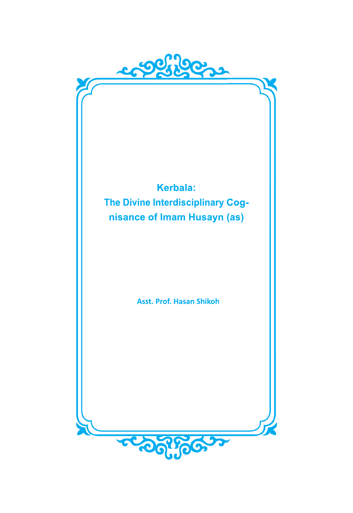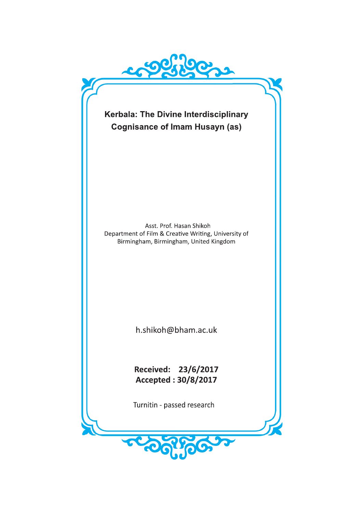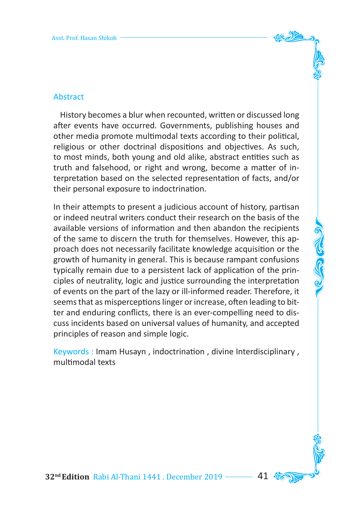

 History becomes a blur when recounted, written or discussed long after events have occurred. Governments, publishing houses and other media promote multimodal texts according to their political, religious or other doctrinal dispositions and objectives. As such, to most minds, both young and old alike, abstract entities such as truth and falsehood, or right and wrong, become a matter of interpretation based on the selected representation of facts, and/or their personal exposure to indoctrination.

In their attempts to present a judicious account of history, partisan or indeed neutral writers conduct their research on the basis of the available versions of information and then abandon the recipients of the same to discern the truth for themselves. However, this approach does not necessarily facilitate knowledge acquisition or the growth of humanity in general. This is because rampant confusions typically remain due to a persistent lack of application of the principles of neutrality, logic and justice surrounding the interpretation of events on the part of the lazy or ill-informed reader. Therefore, it seems that as misperceptions linger or increase, often leading to bitter and enduring conflicts, there is an ever-compelling need to discuss incidents based on universal values of humanity, and accepted principles of reason and simple logic.

Keywords : Imam Husayn , indoctrination , divine Interdisciplinary , multimodal texts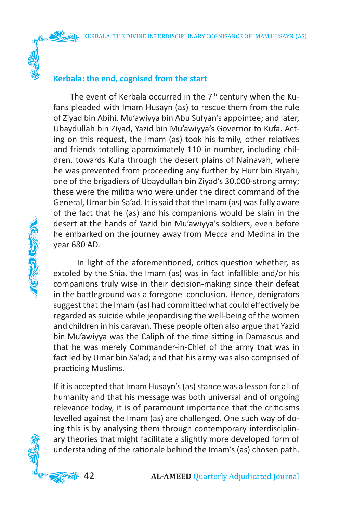## **Kerbala: the end, cognised from the start**

AG CO COMP

The event of Kerbala occurred in the  $7<sup>th</sup>$  century when the Kufans pleaded with Imam Husayn (as) to rescue them from the rule of Ziyad bin Abihi, Mu'awiyya bin Abu Sufyan's appointee; and later, Ubaydullah bin Ziyad, Yazid bin Mu'awiyya's Governor to Kufa. Acting on this request, the Imam (as) took his family, other relatives and friends totalling approximately 110 in number, including children, towards Kufa through the desert plains of Nainavah, where he was prevented from proceeding any further by Hurr bin Riyahi, one of the brigadiers of Ubaydullah bin Ziyad's 30,000-strong army; these were the militia who were under the direct command of the General, Umar bin Sa'ad. It is said that the Imam (as) was fully aware of the fact that he (as) and his companions would be slain in the desert at the hands of Yazid bin Mu'awiyya's soldiers, even before he embarked on the journey away from Mecca and Medina in the year 680 AD.

 In light of the aforementioned, critics question whether, as extoled by the Shia, the Imam (as) was in fact infallible and/or his companions truly wise in their decision-making since their defeat in the battleground was a foregone conclusion. Hence, denigrators suggest that the Imam (as) had committed what could effectively be regarded as suicide while jeopardising the well-being of the women and children in his caravan. These people often also argue that Yazid bin Mu'awiyya was the Caliph of the time sitting in Damascus and that he was merely Commander-in-Chief of the army that was in fact led by Umar bin Sa'ad; and that his army was also comprised of practicing Muslims.

If it is accepted that Imam Husayn's (as) stance was a lesson for all of humanity and that his message was both universal and of ongoing relevance today, it is of paramount importance that the criticisms levelled against the Imam (as) are challenged. One such way of doing this is by analysing them through contemporary interdisciplinary theories that might facilitate a slightly more developed form of understanding of the rationale behind the Imam's (as) chosen path.

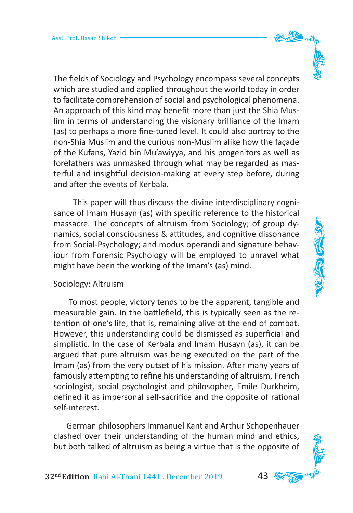The fields of Sociology and Psychology encompass several concepts which are studied and applied throughout the world today in order to facilitate comprehension of social and psychological phenomena. An approach of this kind may benefit more than just the Shia Muslim in terms of understanding the visionary brilliance of the Imam (as) to perhaps a more fine-tuned level. It could also portray to the non-Shia Muslim and the curious non-Muslim alike how the façade of the Kufans, Yazid bin Mu'awiyya, and his progenitors as well as forefathers was unmasked through what may be regarded as masterful and insightful decision-making at every step before, during and after the events of Kerbala.

 This paper will thus discuss the divine interdisciplinary cognisance of Imam Husayn (as) with specific reference to the historical massacre. The concepts of altruism from Sociology; of group dynamics, social consciousness & attitudes, and cognitive dissonance from Social-Psychology; and modus operandi and signature behaviour from Forensic Psychology will be employed to unravel what might have been the working of the Imam's (as) mind.

#### Sociology: Altruism

 To most people, victory tends to be the apparent, tangible and measurable gain. In the battlefield, this is typically seen as the retention of one's life, that is, remaining alive at the end of combat. However, this understanding could be dismissed as superficial and simplistic. In the case of Kerbala and Imam Husayn (as), it can be argued that pure altruism was being executed on the part of the Imam (as) from the very outset of his mission. After many years of famously attempting to refine his understanding of altruism, French sociologist, social psychologist and philosopher, Emile Durkheim, defined it as impersonal self-sacrifice and the opposite of rational self-interest.

 German philosophers Immanuel Kant and Arthur Schopenhauer clashed over their understanding of the human mind and ethics, but both talked of altruism as being a virtue that is the opposite of

**32<sup>nd</sup> Edition** Rabi Al-Thani 1441. December 2019 ––––– 43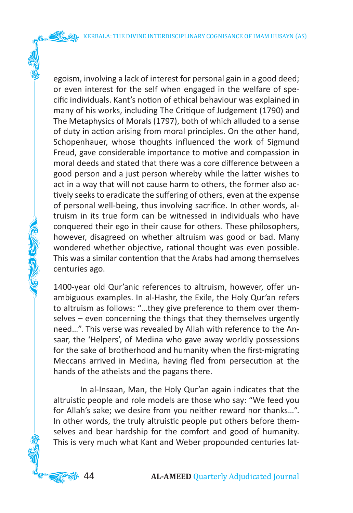KERBALA: THE DIVINE INTERDISCIPLINARY COGNISANCE OF IMAM HUSAYN (AS)

egoism, involving a lack of interest for personal gain in a good deed; or even interest for the self when engaged in the welfare of specific individuals. Kant's notion of ethical behaviour was explained in many of his works, including The Critique of Judgement (1790) and The Metaphysics of Morals (1797), both of which alluded to a sense of duty in action arising from moral principles. On the other hand, Schopenhauer, whose thoughts influenced the work of Sigmund Freud, gave considerable importance to motive and compassion in moral deeds and stated that there was a core difference between a good person and a just person whereby while the latter wishes to act in a way that will not cause harm to others, the former also actively seeks to eradicate the suffering of others, even at the expense of personal well-being, thus involving sacrifice. In other words, altruism in its true form can be witnessed in individuals who have conquered their ego in their cause for others. These philosophers, however, disagreed on whether altruism was good or bad. Many wondered whether objective, rational thought was even possible. This was a similar contention that the Arabs had among themselves centuries ago.

1400-year old Qur'anic references to altruism, however, offer unambiguous examples. In al-Hashr, the Exile, the Holy Qur'an refers to altruism as follows: "…they give preference to them over themselves – even concerning the things that they themselves urgently need…". This verse was revealed by Allah with reference to the Ansaar, the 'Helpers', of Medina who gave away worldly possessions for the sake of brotherhood and humanity when the first-migrating Meccans arrived in Medina, having fled from persecution at the hands of the atheists and the pagans there.

**COLLEGED CALL** 

 In al-Insaan, Man, the Holy Qur'an again indicates that the altruistic people and role models are those who say: "We feed you for Allah's sake; we desire from you neither reward nor thanks…". In other words, the truly altruistic people put others before themselves and bear hardship for the comfort and good of humanity. This is very much what Kant and Weber propounded centuries lat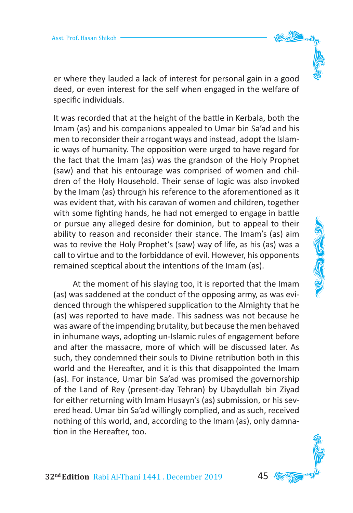er where they lauded a lack of interest for personal gain in a good deed, or even interest for the self when engaged in the welfare of specific individuals.

It was recorded that at the height of the battle in Kerbala, both the Imam (as) and his companions appealed to Umar bin Sa'ad and his men to reconsider their arrogant ways and instead, adopt the Islamic ways of humanity. The opposition were urged to have regard for the fact that the Imam (as) was the grandson of the Holy Prophet (saw) and that his entourage was comprised of women and children of the Holy Household. Their sense of logic was also invoked by the Imam (as) through his reference to the aforementioned as it was evident that, with his caravan of women and children, together with some fighting hands, he had not emerged to engage in battle or pursue any alleged desire for dominion, but to appeal to their ability to reason and reconsider their stance. The Imam's (as) aim was to revive the Holy Prophet's (saw) way of life, as his (as) was a call to virtue and to the forbiddance of evil. However, his opponents remained sceptical about the intentions of the Imam (as).

 At the moment of his slaying too, it is reported that the Imam (as) was saddened at the conduct of the opposing army, as was evidenced through the whispered supplication to the Almighty that he (as) was reported to have made. This sadness was not because he was aware of the impending brutality, but because the men behaved in inhumane ways, adopting un-Islamic rules of engagement before and after the massacre, more of which will be discussed later. As such, they condemned their souls to Divine retribution both in this world and the Hereafter, and it is this that disappointed the Imam (as). For instance, Umar bin Sa'ad was promised the governorship of the Land of Rey (present-day Tehran) by Ubaydullah bin Ziyad for either returning with Imam Husayn's (as) submission, or his severed head. Umar bin Sa'ad willingly complied, and as such, received nothing of this world, and, according to the Imam (as), only damnation in the Hereafter, too.

**32<sup>nd</sup> Edition** Rabi Al-Thani 1441. December 2019 ––––– 45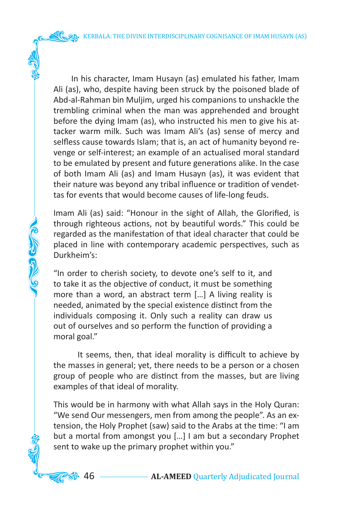KERBALA: THE DIVINE INTERDISCIPLINARY COGNISANCE OF IMAM HUSAYN (AS)

 In his character, Imam Husayn (as) emulated his father, Imam Ali (as), who, despite having been struck by the poisoned blade of Abd-al-Rahman bin Muljim, urged his companions to unshackle the trembling criminal when the man was apprehended and brought before the dying Imam (as), who instructed his men to give his attacker warm milk. Such was Imam Ali's (as) sense of mercy and selfless cause towards Islam; that is, an act of humanity beyond revenge or self-interest; an example of an actualised moral standard to be emulated by present and future generations alike. In the case of both Imam Ali (as) and Imam Husayn (as), it was evident that their nature was beyond any tribal influence or tradition of vendettas for events that would become causes of life-long feuds.

Imam Ali (as) said: "Honour in the sight of Allah, the Glorified, is through righteous actions, not by beautiful words." This could be regarded as the manifestation of that ideal character that could be placed in line with contemporary academic perspectives, such as Durkheim's:

"In order to cherish society, to devote one's self to it, and to take it as the objective of conduct, it must be something more than a word, an abstract term […] A living reality is needed, animated by the special existence distinct from the individuals composing it. Only such a reality can draw us out of ourselves and so perform the function of providing a moral goal."

**VELLES** 

 It seems, then, that ideal morality is difficult to achieve by the masses in general; yet, there needs to be a person or a chosen group of people who are distinct from the masses, but are living examples of that ideal of morality.

This would be in harmony with what Allah says in the Holy Quran: "We send Our messengers, men from among the people". As an extension, the Holy Prophet (saw) said to the Arabs at the time: "I am but a mortal from amongst you […] I am but a secondary Prophet sent to wake up the primary prophet within you."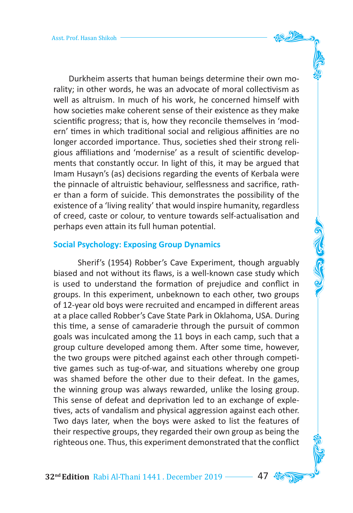Durkheim asserts that human beings determine their own morality; in other words, he was an advocate of moral collectivism as well as altruism. In much of his work, he concerned himself with how societies make coherent sense of their existence as they make scientific progress; that is, how they reconcile themselves in 'modern' times in which traditional social and religious affinities are no longer accorded importance. Thus, societies shed their strong religious affiliations and 'modernise' as a result of scientific developments that constantly occur. In light of this, it may be argued that Imam Husayn's (as) decisions regarding the events of Kerbala were the pinnacle of altruistic behaviour, selflessness and sacrifice, rather than a form of suicide. This demonstrates the possibility of the existence of a 'living reality' that would inspire humanity, regardless of creed, caste or colour, to venture towards self-actualisation and perhaps even attain its full human potential.

#### **Social Psychology: Exposing Group Dynamics**

 Sherif's (1954) Robber's Cave Experiment, though arguably biased and not without its flaws, is a well-known case study which is used to understand the formation of prejudice and conflict in groups. In this experiment, unbeknown to each other, two groups of 12-year old boys were recruited and encamped in different areas at a place called Robber's Cave State Park in Oklahoma, USA. During this time, a sense of camaraderie through the pursuit of common goals was inculcated among the 11 boys in each camp, such that a group culture developed among them. After some time, however, the two groups were pitched against each other through competitive games such as tug-of-war, and situations whereby one group was shamed before the other due to their defeat. In the games, the winning group was always rewarded, unlike the losing group. This sense of defeat and deprivation led to an exchange of expletives, acts of vandalism and physical aggression against each other. Two days later, when the boys were asked to list the features of their respective groups, they regarded their own group as being the righteous one. Thus, this experiment demonstrated that the conflict

32<sup>nd</sup> Edition Rabi Al-Thani 1441 . December 2019 -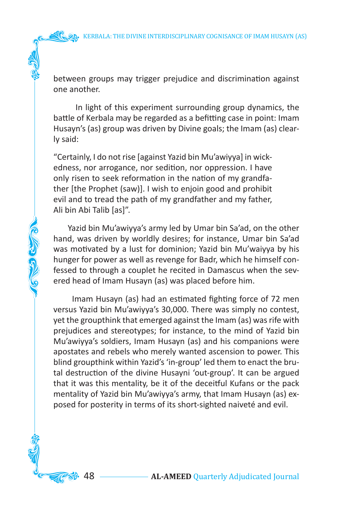between groups may trigger prejudice and discrimination against one another.

 In light of this experiment surrounding group dynamics, the battle of Kerbala may be regarded as a befitting case in point: Imam Husayn's (as) group was driven by Divine goals; the Imam (as) clearly said:

"Certainly, I do not rise [against Yazid bin Mu'awiyya] in wickedness, nor arrogance, nor sedition, nor oppression. I have only risen to seek reformation in the nation of my grandfather [the Prophet (saw)]. I wish to enjoin good and prohibit evil and to tread the path of my grandfather and my father, Ali bin Abi Talib [as]".

 Yazid bin Mu'awiyya's army led by Umar bin Sa'ad, on the other hand, was driven by worldly desires; for instance, Umar bin Sa'ad was motivated by a lust for dominion; Yazid bin Mu'waiyya by his hunger for power as well as revenge for Badr, which he himself confessed to through a couplet he recited in Damascus when the severed head of Imam Husayn (as) was placed before him.

**KONSOLE COMPANY** 

 Imam Husayn (as) had an estimated fighting force of 72 men versus Yazid bin Mu'awiyya's 30,000. There was simply no contest, yet the groupthink that emerged against the Imam (as) was rife with prejudices and stereotypes; for instance, to the mind of Yazid bin Mu'awiyya's soldiers, Imam Husayn (as) and his companions were apostates and rebels who merely wanted ascension to power. This blind groupthink within Yazid's 'in-group' led them to enact the brutal destruction of the divine Husayni 'out-group'. It can be argued that it was this mentality, be it of the deceitful Kufans or the pack mentality of Yazid bin Mu'awiyya's army, that Imam Husayn (as) exposed for posterity in terms of its short-sighted naiveté and evil.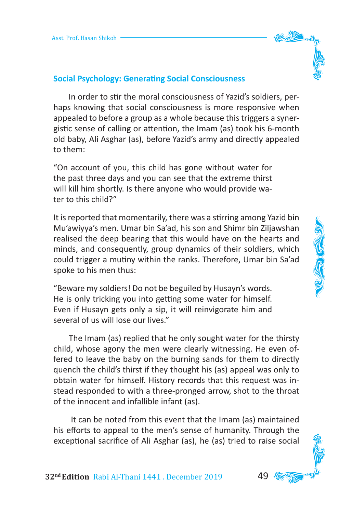

## **Social Psychology: Generating Social Consciousness**

 In order to stir the moral consciousness of Yazid's soldiers, perhaps knowing that social consciousness is more responsive when appealed to before a group as a whole because this triggers a synergistic sense of calling or attention, the Imam (as) took his 6-month old baby, Ali Asghar (as), before Yazid's army and directly appealed to them:

"On account of you, this child has gone without water for the past three days and you can see that the extreme thirst will kill him shortly. Is there anyone who would provide water to this child?"

It is reported that momentarily, there was a stirring among Yazid bin Mu'awiyya's men. Umar bin Sa'ad, his son and Shimr bin Ziljawshan realised the deep bearing that this would have on the hearts and minds, and consequently, group dynamics of their soldiers, which could trigger a mutiny within the ranks. Therefore, Umar bin Sa'ad spoke to his men thus:

"Beware my soldiers! Do not be beguiled by Husayn's words. He is only tricking you into getting some water for himself. Even if Husayn gets only a sip, it will reinvigorate him and several of us will lose our lives."

 The Imam (as) replied that he only sought water for the thirsty child, whose agony the men were clearly witnessing. He even offered to leave the baby on the burning sands for them to directly quench the child's thirst if they thought his (as) appeal was only to obtain water for himself. History records that this request was instead responded to with a three-pronged arrow, shot to the throat of the innocent and infallible infant (as).

 It can be noted from this event that the Imam (as) maintained his efforts to appeal to the men's sense of humanity. Through the exceptional sacrifice of Ali Asghar (as), he (as) tried to raise social

32<sup>nd</sup> Edition Rabi Al-Thani 1441. December 2019 -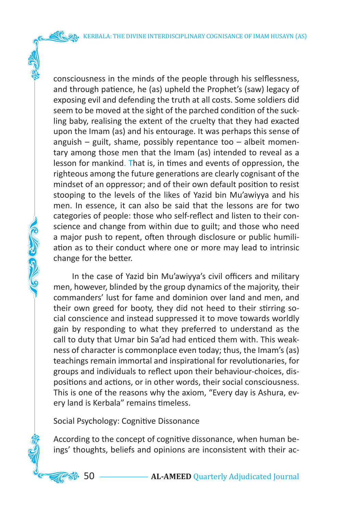KERBALA: THE DIVINE INTERDISCIPLINARY COGNISANCE OF IMAM HUSAYN (AS)

consciousness in the minds of the people through his selflessness, and through patience, he (as) upheld the Prophet's (saw) legacy of exposing evil and defending the truth at all costs. Some soldiers did seem to be moved at the sight of the parched condition of the suckling baby, realising the extent of the cruelty that they had exacted upon the Imam (as) and his entourage. It was perhaps this sense of anguish – guilt, shame, possibly repentance too – albeit momentary among those men that the Imam (as) intended to reveal as a lesson for mankind. That is, in times and events of oppression, the righteous among the future generations are clearly cognisant of the mindset of an oppressor; and of their own default position to resist stooping to the levels of the likes of Yazid bin Mu'awiyya and his men. In essence, it can also be said that the lessons are for two categories of people: those who self-reflect and listen to their conscience and change from within due to guilt; and those who need a major push to repent, often through disclosure or public humiliation as to their conduct where one or more may lead to intrinsic change for the better.

 In the case of Yazid bin Mu'awiyya's civil officers and military men, however, blinded by the group dynamics of the majority, their commanders' lust for fame and dominion over land and men, and their own greed for booty, they did not heed to their stirring social conscience and instead suppressed it to move towards worldly gain by responding to what they preferred to understand as the call to duty that Umar bin Sa'ad had enticed them with. This weakness of character is commonplace even today; thus, the Imam's (as) teachings remain immortal and inspirational for revolutionaries, for groups and individuals to reflect upon their behaviour-choices, dispositions and actions, or in other words, their social consciousness. This is one of the reasons why the axiom, "Every day is Ashura, every land is Kerbala" remains timeless.

Social Psychology: Cognitive Dissonance

**COLLEGED CALL** 

According to the concept of cognitive dissonance, when human beings' thoughts, beliefs and opinions are inconsistent with their ac-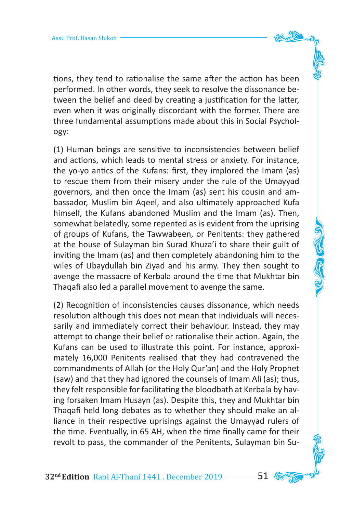tions, they tend to rationalise the same after the action has been performed. In other words, they seek to resolve the dissonance between the belief and deed by creating a justification for the latter, even when it was originally discordant with the former. There are three fundamental assumptions made about this in Social Psychology:

(1) Human beings are sensitive to inconsistencies between belief and actions, which leads to mental stress or anxiety. For instance, the yo-yo antics of the Kufans: first, they implored the Imam (as) to rescue them from their misery under the rule of the Umayyad governors, and then once the Imam (as) sent his cousin and ambassador, Muslim bin Aqeel, and also ultimately approached Kufa himself, the Kufans abandoned Muslim and the Imam (as). Then, somewhat belatedly, some repented as is evident from the uprising of groups of Kufans, the Tawwabeen, or Penitents: they gathered at the house of Sulayman bin Surad Khuza'i to share their guilt of inviting the Imam (as) and then completely abandoning him to the wiles of Ubaydullah bin Ziyad and his army. They then sought to avenge the massacre of Kerbala around the time that Mukhtar bin Thaqafi also led a parallel movement to avenge the same.

(2) Recognition of inconsistencies causes dissonance, which needs resolution although this does not mean that individuals will necessarily and immediately correct their behaviour. Instead, they may attempt to change their belief or rationalise their action. Again, the Kufans can be used to illustrate this point. For instance, approximately 16,000 Penitents realised that they had contravened the commandments of Allah (or the Holy Qur'an) and the Holy Prophet (saw) and that they had ignored the counsels of Imam Ali (as); thus, they felt responsible for facilitating the bloodbath at Kerbala by having forsaken Imam Husayn (as). Despite this, they and Mukhtar bin Thaqafi held long debates as to whether they should make an alliance in their respective uprisings against the Umayyad rulers of the time. Eventually, in 65 AH, when the time finally came for their revolt to pass, the commander of the Penitents, Sulayman bin Su-

**32<sup>nd</sup> Edition** Rabi Al-Thani 1441 . December 2019 **61** .  $\%$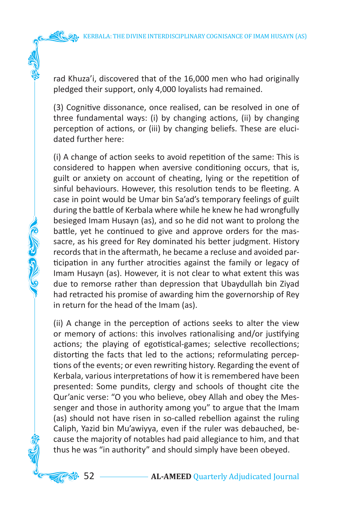rad Khuza'i, discovered that of the 16,000 men who had originally pledged their support, only 4,000 loyalists had remained.

(3) Cognitive dissonance, once realised, can be resolved in one of three fundamental ways: (i) by changing actions, (ii) by changing perception of actions, or (iii) by changing beliefs. These are elucidated further here:

(i) A change of action seeks to avoid repetition of the same: This is considered to happen when aversive conditioning occurs, that is, guilt or anxiety on account of cheating, lying or the repetition of sinful behaviours. However, this resolution tends to be fleeting. A case in point would be Umar bin Sa'ad's temporary feelings of guilt during the battle of Kerbala where while he knew he had wrongfully besieged Imam Husayn (as), and so he did not want to prolong the battle, yet he continued to give and approve orders for the massacre, as his greed for Rey dominated his better judgment. History records that in the aftermath, he became a recluse and avoided participation in any further atrocities against the family or legacy of Imam Husayn (as). However, it is not clear to what extent this was due to remorse rather than depression that Ubaydullah bin Ziyad had retracted his promise of awarding him the governorship of Rey in return for the head of the Imam (as).

**NEW CLOSE** 

(ii) A change in the perception of actions seeks to alter the view or memory of actions: this involves rationalising and/or justifying actions; the playing of egotistical-games; selective recollections; distorting the facts that led to the actions; reformulating perceptions of the events; or even rewriting history. Regarding the event of Kerbala, various interpretations of how it is remembered have been presented: Some pundits, clergy and schools of thought cite the Qur'anic verse: "O you who believe, obey Allah and obey the Messenger and those in authority among you" to argue that the Imam (as) should not have risen in so-called rebellion against the ruling Caliph, Yazid bin Mu'awiyya, even if the ruler was debauched, because the majority of notables had paid allegiance to him, and that thus he was "in authority" and should simply have been obeyed.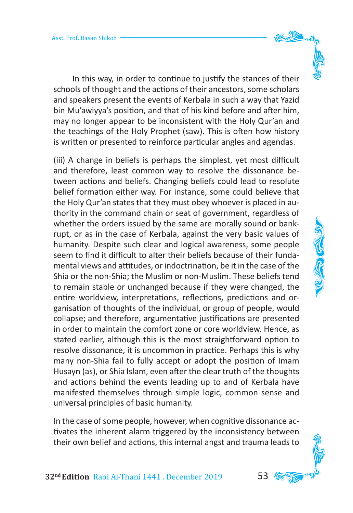In this way, in order to continue to justify the stances of their schools of thought and the actions of their ancestors, some scholars and speakers present the events of Kerbala in such a way that Yazid bin Mu'awiyya's position, and that of his kind before and after him, may no longer appear to be inconsistent with the Holy Qur'an and

the teachings of the Holy Prophet (saw). This is often how history is written or presented to reinforce particular angles and agendas.

(iii) A change in beliefs is perhaps the simplest, yet most difficult and therefore, least common way to resolve the dissonance between actions and beliefs. Changing beliefs could lead to resolute belief formation either way. For instance, some could believe that the Holy Qur'an states that they must obey whoever is placed in authority in the command chain or seat of government, regardless of whether the orders issued by the same are morally sound or bankrupt, or as in the case of Kerbala, against the very basic values of humanity. Despite such clear and logical awareness, some people seem to find it difficult to alter their beliefs because of their fundamental views and attitudes, or indoctrination, be it in the case of the Shia or the non-Shia; the Muslim or non-Muslim. These beliefs tend to remain stable or unchanged because if they were changed, the entire worldview, interpretations, reflections, predictions and organisation of thoughts of the individual, or group of people, would collapse; and therefore, argumentative justifications are presented in order to maintain the comfort zone or core worldview. Hence, as stated earlier, although this is the most straightforward option to resolve dissonance, it is uncommon in practice. Perhaps this is why many non-Shia fail to fully accept or adopt the position of Imam Husayn (as), or Shia Islam, even after the clear truth of the thoughts and actions behind the events leading up to and of Kerbala have manifested themselves through simple logic, common sense and universal principles of basic humanity.

In the case of some people, however, when cognitive dissonance activates the inherent alarm triggered by the inconsistency between their own belief and actions, this internal angst and trauma leads to

**32<sup>nd</sup> Edition** Rabi Al-Thani 1441. December 2019 ---- 53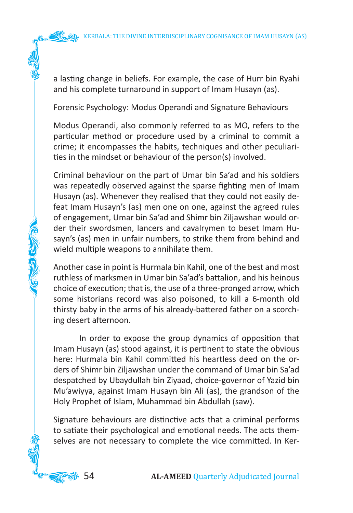a lasting change in beliefs. For example, the case of Hurr bin Ryahi and his complete turnaround in support of Imam Husayn (as).

Forensic Psychology: Modus Operandi and Signature Behaviours

Modus Operandi, also commonly referred to as MO, refers to the particular method or procedure used by a criminal to commit a crime; it encompasses the habits, techniques and other peculiarities in the mindset or behaviour of the person(s) involved.

Criminal behaviour on the part of Umar bin Sa'ad and his soldiers was repeatedly observed against the sparse fighting men of Imam Husayn (as). Whenever they realised that they could not easily defeat Imam Husayn's (as) men one on one, against the agreed rules of engagement, Umar bin Sa'ad and Shimr bin Ziljawshan would order their swordsmen, lancers and cavalrymen to beset Imam Husayn's (as) men in unfair numbers, to strike them from behind and wield multiple weapons to annihilate them.

Another case in point is Hurmala bin Kahil, one of the best and most ruthless of marksmen in Umar bin Sa'ad's battalion, and his heinous choice of execution; that is, the use of a three-pronged arrow, which some historians record was also poisoned, to kill a 6-month old thirsty baby in the arms of his already-battered father on a scorching desert afternoon.

**COLORED** 

 In order to expose the group dynamics of opposition that Imam Husayn (as) stood against, it is pertinent to state the obvious here: Hurmala bin Kahil committed his heartless deed on the orders of Shimr bin Ziljawshan under the command of Umar bin Sa'ad despatched by Ubaydullah bin Ziyaad, choice-governor of Yazid bin Mu'awiyya, against Imam Husayn bin Ali (as), the grandson of the Holy Prophet of Islam, Muhammad bin Abdullah (saw).

Signature behaviours are distinctive acts that a criminal performs to satiate their psychological and emotional needs. The acts themselves are not necessary to complete the vice committed. In Ker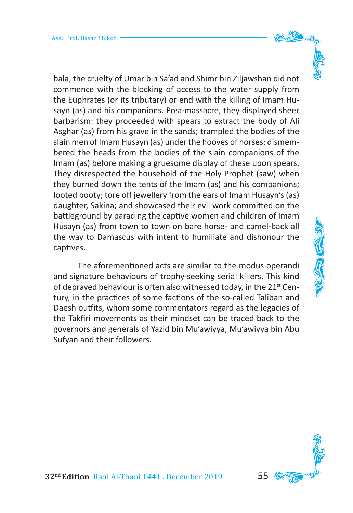bala, the cruelty of Umar bin Sa'ad and Shimr bin Ziljawshan did not commence with the blocking of access to the water supply from the Euphrates (or its tributary) or end with the killing of Imam Husayn (as) and his companions. Post-massacre, they displayed sheer barbarism: they proceeded with spears to extract the body of Ali Asghar (as) from his grave in the sands; trampled the bodies of the slain men of Imam Husayn (as) under the hooves of horses; dismembered the heads from the bodies of the slain companions of the Imam (as) before making a gruesome display of these upon spears. They disrespected the household of the Holy Prophet (saw) when they burned down the tents of the Imam (as) and his companions; looted booty; tore off jewellery from the ears of Imam Husayn's (as) daughter, Sakina; and showcased their evil work committed on the battleground by parading the captive women and children of Imam Husayn (as) from town to town on bare horse- and camel-back all the way to Damascus with intent to humiliate and dishonour the captives.

 The aforementioned acts are similar to the modus operandi and signature behaviours of trophy-seeking serial killers. This kind of depraved behaviour is often also witnessed today, in the 21<sup>st</sup> Century, in the practices of some factions of the so-called Taliban and Daesh outfits, whom some commentators regard as the legacies of the Takfiri movements as their mindset can be traced back to the governors and generals of Yazid bin Mu'awiyya, Mu'awiyya bin Abu Sufyan and their followers.

**32<sup>nd</sup> Edition** Rabi Al-Thani 1441. December 2019 –––––– 55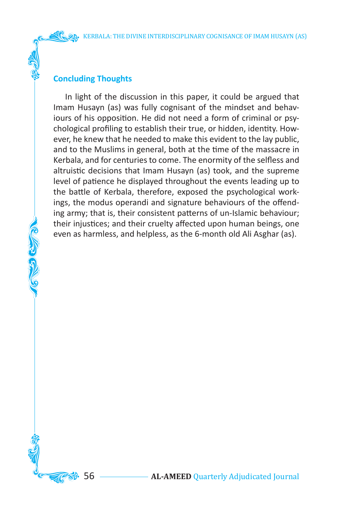## **Concluding Thoughts**

CONGRAT

 In light of the discussion in this paper, it could be argued that Imam Husayn (as) was fully cognisant of the mindset and behaviours of his opposition. He did not need a form of criminal or psychological profiling to establish their true, or hidden, identity. However, he knew that he needed to make this evident to the lay public, and to the Muslims in general, both at the time of the massacre in Kerbala, and for centuries to come. The enormity of the selfless and altruistic decisions that Imam Husayn (as) took, and the supreme level of patience he displayed throughout the events leading up to the battle of Kerbala, therefore, exposed the psychological workings, the modus operandi and signature behaviours of the offending army; that is, their consistent patterns of un-Islamic behaviour; their injustices; and their cruelty affected upon human beings, one even as harmless, and helpless, as the 6-month old Ali Asghar (as).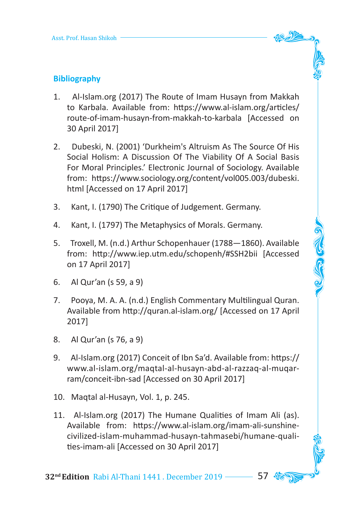

COCO CON

# **Bibliography**

- 1. Al-Islam.org (2017) The Route of Imam Husayn from Makkah to Karbala. Available from: https://www.al-islam.org/articles/ route-of-imam-husayn-from-makkah-to-karbala [Accessed on 30 April 2017]
- 2. Dubeski, N. (2001) 'Durkheim's Altruism As The Source Of His Social Holism: A Discussion Of The Viability Of A Social Basis For Moral Principles.' Electronic Journal of Sociology. Available from: https://www.sociology.org/content/vol005.003/dubeski. html [Accessed on 17 April 2017]
- 3. Kant, I. (1790) The Critique of Judgement. Germany.
- 4. Kant, I. (1797) The Metaphysics of Morals. Germany.
- 5. Troxell, M. (n.d.) Arthur Schopenhauer (1788—1860). Available from: http://www.iep.utm.edu/schopenh/#SSH2bii [Accessed on 17 April 2017]
- 6. Al Qur'an (s 59, a 9)
- 7. Pooya, M. A. A. (n.d.) English Commentary Multilingual Quran. Available from http://quran.al-islam.org/ [Accessed on 17 April 2017]
- 8. Al Qur'an (s 76, a 9)
- 9. Al-Islam.org (2017) Conceit of Ibn Sa'd. Available from: https:// www.al-islam.org/maqtal-al-husayn-abd-al-razzaq-al-muqarram/conceit-ibn-sad [Accessed on 30 April 2017]
- 10. Maqtal al-Husayn, Vol. 1, p. 245.
- 11. Al-Islam.org (2017) The Humane Qualities of Imam Ali (as). Available from: https://www.al-islam.org/imam-ali-sunshinecivilized-islam-muhammad-husayn-tahmasebi/humane-qualities-imam-ali [Accessed on 30 April 2017]

**32<sup>nd</sup> Edition** Rabi Al-Thani 1441. December 2019 ––––––– 57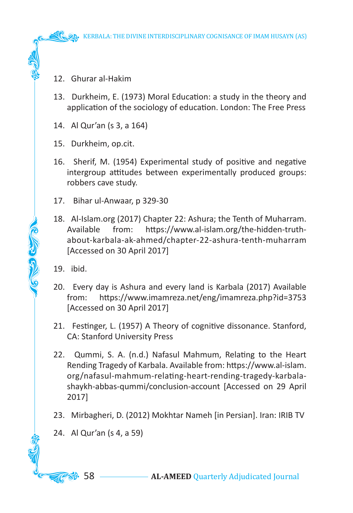- 12. Ghurar al-Hakim
- 13. Durkheim, E. (1973) Moral Education: a study in the theory and application of the sociology of education. London: The Free Press
- 14. Al Qur'an (s 3, a 164)
- 15. Durkheim, op.cit.
- 16. Sherif, M. (1954) Experimental study of positive and negative intergroup attitudes between experimentally produced groups: robbers cave study.
- 17. Bihar ul-Anwaar, p 329-30
- 18. Al-Islam.org (2017) Chapter 22: Ashura; the Tenth of Muharram. Available from: https://www.al-islam.org/the-hidden-truthabout-karbala-ak-ahmed/chapter-22-ashura-tenth-muharram [Accessed on 30 April 2017]
- 19. ibid.

**COLLEGED CALL** 

- 20. Every day is Ashura and every land is Karbala (2017) Available from: https://www.imamreza.net/eng/imamreza.php?id=3753 [Accessed on 30 April 2017]
- 21. Festinger, L. (1957) A Theory of cognitive dissonance. Stanford, CA: Stanford University Press
- 22. Qummi, S. A. (n.d.) Nafasul Mahmum, Relating to the Heart Rending Tragedy of Karbala. Available from: https://www.al-islam. org/nafasul-mahmum-relating-heart-rending-tragedy-karbalashaykh-abbas-qummi/conclusion-account [Accessed on 29 April 2017]
- 23. Mirbagheri, D. (2012) Mokhtar Nameh [in Persian]. Iran: IRIB TV
- 24. Al Qur'an (s 4, a 59)

**58** 58 **AL-AMEED** Quarterly Adjudicated Journal